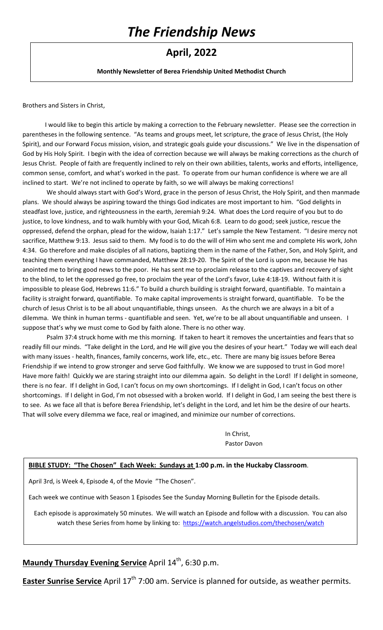# *The Friendship News*

# **April, 2022**

**Monthly Newsletter of Berea Friendship United Methodist Church** 

Brothers and Sisters in Christ,

I would like to begin this article by making a correction to the February newsletter. Please see the correction in parentheses in the following sentence. "As teams and groups meet, let scripture, the grace of Jesus Christ, (the Holy Spirit), and our Forward Focus mission, vision, and strategic goals guide your discussions." We live in the dispensation of God by His Holy Spirit. I begin with the idea of correction because we will always be making corrections as the church of Jesus Christ. People of faith are frequently inclined to rely on their own abilities, talents, works and efforts, intelligence, common sense, comfort, and what's worked in the past. To operate from our human confidence is where we are all inclined to start. We're not inclined to operate by faith, so we will always be making corrections!

We should always start with God's Word, grace in the person of Jesus Christ, the Holy Spirit, and then manmade plans. We should always be aspiring toward the things God indicates are most important to him. "God delights in steadfast love, justice, and righteousness in the earth, Jeremiah 9:24. What does the Lord require of you but to do justice, to love kindness, and to walk humbly with your God, Micah 6:8. Learn to do good; seek justice, rescue the oppressed, defend the orphan, plead for the widow, Isaiah 1:17." Let's sample the New Testament. "I desire mercy not sacrifice, Matthew 9:13. Jesus said to them. My food is to do the will of Him who sent me and complete His work, John 4:34. Go therefore and make disciples of all nations, baptizing them in the name of the Father, Son, and Holy Spirit, and teaching them everything I have commanded, Matthew 28:19-20. The Spirit of the Lord is upon me, because He has anointed me to bring good news to the poor. He has sent me to proclaim release to the captives and recovery of sight to the blind, to let the oppressed go free, to proclaim the year of the Lord's favor, Luke 4:18-19. Without faith it is impossible to please God, Hebrews 11:6." To build a church building is straight forward, quantifiable. To maintain a facility is straight forward, quantifiable. To make capital improvements is straight forward, quantifiable. To be the church of Jesus Christ is to be all about unquantifiable, things unseen. As the church we are always in a bit of a dilemma. We think in human terms - quantifiable and seen. Yet, we're to be all about unquantifiable and unseen. I suppose that's why we must come to God by faith alone. There is no other way.

Psalm 37:4 struck home with me this morning. If taken to heart it removes the uncertainties and fears that so readily fill our minds. "Take delight in the Lord, and He will give you the desires of your heart." Today we will each deal with many issues - health, finances, family concerns, work life, etc., etc. There are many big issues before Berea Friendship if we intend to grow stronger and serve God faithfully. We know we are supposed to trust in God more! Have more faith! Quickly we are staring straight into our dilemma again. So delight in the Lord! If I delight in someone, there is no fear. If I delight in God, I can't focus on my own shortcomings. If I delight in God, I can't focus on other shortcomings. If I delight in God, I'm not obsessed with a broken world. If I delight in God, I am seeing the best there is to see. As we face all that is before Berea Friendship, let's delight in the Lord, and let him be the desire of our hearts. That will solve every dilemma we face, real or imagined, and minimize our number of corrections.

> In Christ, Pastor Davon

#### **BIBLE STUDY: "The Chosen" Each Week: Sundays at 1:00 p.m. in the Huckaby Classroom**.

April 3rd, is Week 4, Episode 4, of the Movie "The Chosen".

Each week we continue with Season 1 Episodes See the Sunday Morning Bulletin for the Episode details.

Each episode is approximately 50 minutes. We will watch an Episode and follow with a discussion. You can also watch these Series from home by linking to:<https://watch.angelstudios.com/thechosen/watch>

### **Maundy Thursday Evening Service** April 14<sup>th</sup>, 6:30 p.m.

**Easter Sunrise Service** April 17<sup>th</sup> 7:00 am. Service is planned for outside, as weather permits.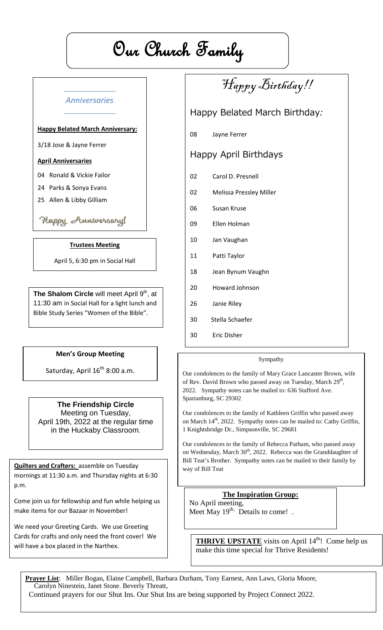# Our Church Family

### *Anniversaries*

#### **Happy Belated March Anniversary:**

3/18 Jose & Jayne Ferrer

#### **April Anniversaries**

04 Ronald & Vickie Failor

- 24 Parks & Sonya Evans
- 25 Allen & Libby Gilliam

### Happy Amniversary!

#### **Trustees Meeting**

April 5, 6:30 pm in Social Hall

**The Shalom Circle** will meet April 9<sup>th</sup>, at 11:30 am in Social Hall for a light lunch and Bible Study Series "Women of the Bible".

#### **Men's Group Meeting**

Saturday, April  $16^{th}$  8:00 a.m.

#### **The Friendship Circle**

Meeting on Tuesday, April 19th, 2022 at the regular time in the Huckaby Classroom.

**Quilters and Crafters:** assemble on Tuesday mornings at 11:30 a.m. and Thursday nights at 6:30 p.m.

Come join us for fellowship and fun while helping us make items for our Bazaar in November!

We need your Greeting Cards. We use Greeting Cards for crafts and only need the front cover! We will have a box placed in the Narthex.

# Happy Birthday!!

## Happy Belated March Birthday:

08 Jayne Ferrer

## Happy April Birthdays

- 02 Carol D. Presnell
- 02 Melissa Pressley Miller
- 06 Susan Kruse
- 09 Ellen Holman
- 10 Jan Vaughan
- 11 Patti Taylor
- 18 Jean Bynum Vaughn
- 20 Howard Johnson
- 26 Janie Riley
- 30 Stella Schaefer
- 30 Eric Disher

#### Sympathy

Our condolences to the family of Mary Grace Lancaster Brown, wife of Rev. David Brown who passed away on Tuesday, March 29<sup>th</sup>, 2022. Sympathy notes can be mailed to: 636 Stafford Ave. Spartanburg, SC 29302

Our condolences to the family of Kathleen Griffin who passed away on March 14<sup>th</sup>, 2022. Sympathy notes can be mailed to: Cathy Griffin, 1 Knightsbridge Dr., Simpsonville, SC 29681

Our condolences to the family of Rebecca Parham, who passed away on Wednesday, March 30<sup>th</sup>, 2022. Rebecca was the Granddaughter of Bill Teat's Brother. Sympathy notes can be mailed to their family by way of Bill Teat

**The Inspiration Group:** No April meeting, Meet May  $19^{th}$ . Details to come!.

**THRIVE UPSTATE** visits on April 14<sup>th</sup>! Come help us make this time special for Thrive Residents!

**Prayer List**: Miller Bogan, Elaine Campbell, Barbara Durham, Tony Earnest, Ann Laws, Gloria Moore, Carolyn Ninestein, Janet Stone. Beverly Threatt, Continued prayers for our Shut Ins. Our Shut Ins are being supported by Project Connect 2022.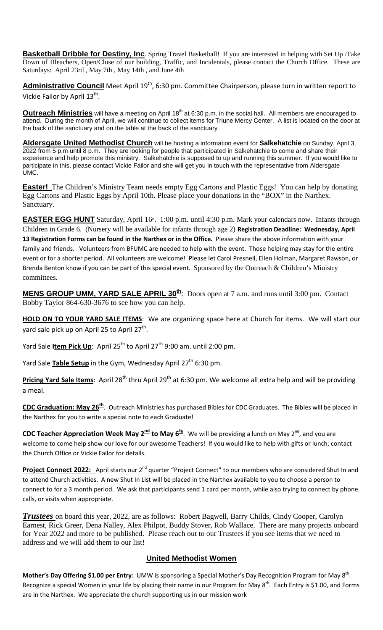**Basketball Dribble for Destiny, Inc**. Spring Travel Basketball! If you are interested in helping with Set Up /Take Down of Bleachers, Open/Close of our building, Traffic, and Incidentals, please contact the Church Office. These are Saturdays: April 23rd , May 7th , May 14th , and June 4th

**Administrative Council** Meet April 19th, 6:30 pm. Committee Chairperson, please turn in written report to Vickie Failor by April 13<sup>th</sup>.

**Outreach Ministries** will have a meeting on April 18<sup>th</sup> at 6:30 p.m. in the social hall. All members are encouraged to attend. During the month of April, we will continue to collect items for Triune Mercy Center. A list is located on the door at the back of the sanctuary and on the table at the back of the sanctuary

**Aldersgate United Methodist Church** will be hosting a information event for **Salkehatchie** on Sunday, April 3, 2022 from 5 p.m until 8 p.m. They are looking for people that participated in Salkehatchie to come and share their experience and help promote this ministry. Salkehatchie is supposed to up and running this summer. If you would like to participate in this, please contact Vickie Failor and she will get you in touch with the representative from Aldersgate UMC.

**Easter!** The Children's Ministry Team needs empty Egg Cartons and Plastic Eggs! You can help by donating Egg Cartons and Plastic Eggs by April 10th. Please place your donations in the "BOX" in the Narthex. Sanctuary.

**EASTER EGG HUNT** Saturday, April 16<sup>th</sup>. 1:00 p.m. until 4:30 p.m. Mark your calendars now. Infants through Children in Grade 6. (Nursery will be available for infants through age 2) **Registration Deadline: Wednesday, April 13 Registration Forms can be found in the Narthex or in the Office.** Please share the above information with your family and friends. Volunteers from BFUMC are needed to help with the event. Those helping may stay for the entire event or for a shorter period. All volunteers are welcome! Please let Carol Presnell, Ellen Holman, Margaret Rawson, or Brenda Benton know if you can be part of this special event. Sponsored by the Outreach & Children's Ministry committees.

**MENS GROUP UMM, YARD SALE APRIL 30th**: Doors open at 7 a.m. and runs until 3:00 pm. Contact Bobby Taylor 864-630-3676 to see how you can help.

**HOLD ON TO YOUR YARD SALE ITEMS**: We are organizing space here at Church for items. We will start our yard sale pick up on April 25 to April  $27<sup>th</sup>$ .

Yard Sale **Item Pick Up**: April 25<sup>th</sup> to April 27<sup>th</sup> 9:00 am. until 2:00 pm.

Yard Sale **Table Setup** in the Gym, Wednesday April 27<sup>th</sup> 6:30 pm.

**Pricing Yard Sale Items**: April 28<sup>th</sup> thru April 29<sup>th</sup> at 6:30 pm. We welcome all extra help and will be providing a meal.

**CDC Graduation: May 26<sup>th</sup>.** Outreach Ministries has purchased Bibles for CDC Graduates. The Bibles will be placed in the Narthex for you to write a special note to each Graduate!

**CDC Teacher Appreciation Week May 2nd to May 6th** . We will be providing a lunch on May 2nd, and you are welcome to come help show our love for our awesome Teachers! If you would like to help with gifts or lunch, contact the Church Office or Vickie Failor for details.

Project Connect 2022: April starts our 2<sup>nd</sup> quarter "Project Connect" to our members who are considered Shut In and to attend Church activities. A new Shut In List will be placed in the Narthex available to you to choose a person to connect to for a 3 month period. We ask that participants send 1 card per month, while also trying to connect by phone calls, or visits when appropriate.

*Trustees* on board this year, 2022, are as follows: Robert Bagwell, Barry Childs, Cindy Cooper, Carolyn Earnest, Rick Greer, Dena Nalley, Alex Philpot, Buddy Stover, Rob Wallace. There are many projects onboard for Year 2022 and more to be published. Please reach out to our Trustees if you see items that we need to address and we will add them to our list!

#### **United Methodist Women**

Mother's Day Offering \$1.00 per Entry: UMW is sponsoring a Special Mother's Day Recognition Program for May 8<sup>th</sup>. Recognize a special Women in your life by placing their name in our Program for May  $8^{th}$ . Each Entry is \$1.00, and Forms are in the Narthex. We appreciate the church supporting us in our mission work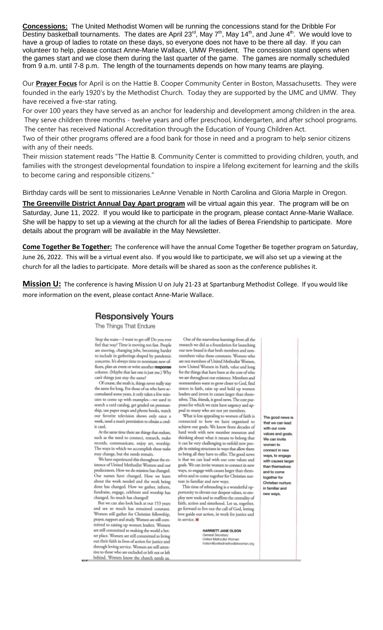**Concessions:** The United Methodist Women will be running the concessions stand for the Dribble For Destiny basketball tournaments. The dates are April 23 $^{rd}$ , May  $7^{th}$ , May 14 $^{th}$ , and June 4 $^{th}$ . We would love to have a group of ladies to rotate on these days, so everyone does not have to be there all day. If you can volunteer to help, please contact Anne-Marie Wallace, UMW President. The concession stand opens when the games start and we close them during the last quarter of the game. The games are normally scheduled from 9 a.m. until 7-8 p.m. The length of the tournaments depends on how many teams are playing.

Our **Prayer Focus** for April is on the Hattie B. Cooper Community Center in Boston, Massachusetts. They were founded in the early 1920's by the Methodist Church. Today they are supported by the UMC and UMW. They have received a five-star rating.

For over 100 years they have served as an anchor for leadership and development among children in the area. They serve children three months - twelve years and offer preschool, kindergarten, and after school programs. The center has received National Accreditation through the Education of Young Children Act.

Two of their other programs offered are a food bank for those in need and a program to help senior citizens with any of their needs.

Their mission statement reads "The Hattie B. Community Center is committed to providing children, youth, and families with the strongest developmental foundation to inspire a lifelong excitement for learning and the skills to become caring and responsible citizens."

Birthday cards will be sent to missionaries LeAnne Venable in North Carolina and Gloria Marple in Oregon.

**The Greenville District Annual Day Apart program** will be virtual again this year. The program will be on Saturday, June 11, 2022. If you would like to participate in the program, please contact Anne-Marie Wallace. She will be happy to set up a viewing at the church for all the ladies of Berea Friendship to participate. More details about the program will be available in the May Newsletter.

**Come Together Be Together:** The conference will have the annual Come Together Be together program on Saturday, June 26, 2022. This will be a virtual event also. If you would like to participate, we will also set up a viewing at the church for all the ladies to participate. More details will be shared as soon as the conference publishes it.

**Mission U:** The conference is having Mission U on July 21-23 at Spartanburg Methodist College. If you would like more information on the event, please contact Anne-Marie Wallace.

#### **Responsively Yours**

The Things That Endure

Stop the train-I want to get off! Do you ever feel that way? Time is moving too fast. People are moving, changing jobs, becoming harder to include in gatherings shaped by pandemic concerns. It's always time to nominate new officers, plan an event or write another response<br>column. (Maybe that last one is just me.) Why can't things just stay the same?

Of course, the truth is, things never really stay<br>the same for long. For those of us who have accumulated some years, it only takes a few minutes to come up with examples-we used to search a card catalog, get graded on penmanship, use paper maps and phone books, watch<br>our favorite television shows only once a week, need a man's permission to obtain a credit card.

At the same time there are things that endure, such as the need to connect, research, make records, communicate, enjoy art, worship, The ways in which we accomplish these tasks may change, but the needs remain.

We have experienced this throughout the existence of United Methodist Women and our predecessors. How we do mission has changed. Our names have changed. How we learn<br>about the work needed and the work being done has changed. How we gather, inform, fundraise, engage, celebrate and worship has<br>changed. So much has changed!

But we can also look back at our 153 years<br>and see so much has remained constant. Women still gather for Christian fellowship, prayer, support and study. Women are still committed to raising up women leaders. Women are still committed to making the world a better place. Women are still committed to living out their faith in lives of action for justice and through loving service. Women are still attentive to those who are excluded or left out or left behind. Women know the church needs us.

One of the marvelous learnings from all the research we did as a foundation for launching our new brand is that both members and nonmembers value these constants. Women who are not members of United Methodist Women, now United Women in Faith, value and long for the things that have been at the core of who we are throughout our existence. Members and nonmembers want to grow closer to God, find sisters in faith, raise up and hold up women leaders and invest in causes larger than them-<br>selves. This, friends, is good news. The core purposes for which we exist have urgency and appeal to many who are not yet members.

What is less appealing to women of faith is connected to how we have organized to<br>achieve our goals. We know from decades of hard work with new member resources and thinking about what it means to belong that it can be very challenging to enfold new people in existing structures in ways that allow them to bring all they have to offer. The good news is that we can lead with our core values and goals. We can invite women to connect in new ways, to engage with causes larger than themselves and to come together for Christian nurture in familiar and new ways.

This time of rebranding is a wonderful opportunity to elevate our deepest values, to employ new tools and to reaffirm the centrality of faith, action and sisterhood. Let us, together, go forward to live out the call of God, letting<br>love guide our action, in work for justice and in service. II

> HARRIETT JANE OLSON General Secretary<br>United Methodist Women<br>holson@unitedmethodistwomen.org

The good news is that we can lead with our core values and goals. We can invite women to connect in new ways, to engage with causes larger than themselves and to come together for Christian nurture in familiar and new ways.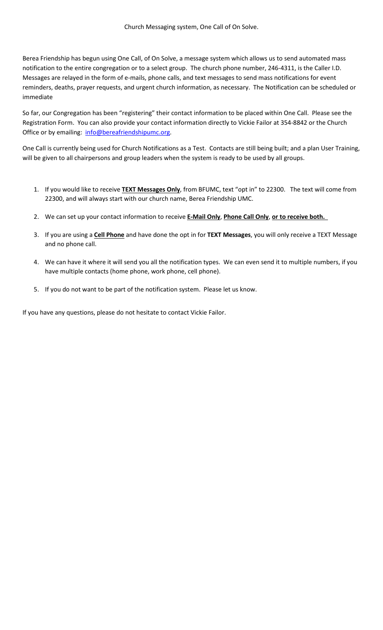Berea Friendship has begun using One Call, of On Solve, a message system which allows us to send automated mass notification to the entire congregation or to a select group. The church phone number, 246-4311, is the Caller I.D. Messages are relayed in the form of e-mails, phone calls, and text messages to send mass notifications for event reminders, deaths, prayer requests, and urgent church information, as necessary. The Notification can be scheduled or immediate

So far, our Congregation has been "registering" their contact information to be placed within One Call. Please see the Registration Form. You can also provide your contact information directly to Vickie Failor at 354-8842 or the Church Office or by emailing: [info@bereafriendshipumc.org.](mailto:info@bereafriendshipumc.org)

One Call is currently being used for Church Notifications as a Test. Contacts are still being built; and a plan User Training, will be given to all chairpersons and group leaders when the system is ready to be used by all groups.

- 1. If you would like to receive **TEXT Messages Only**, from BFUMC, text "opt in" to 22300. The text will come from 22300, and will always start with our church name, Berea Friendship UMC.
- 2. We can set up your contact information to receive **E-Mail Only**, **Phone Call Only**, **or to receive both.**
- 3. If you are using a **Cell Phone** and have done the opt in for **TEXT Messages**, you will only receive a TEXT Message and no phone call.
- 4. We can have it where it will send you all the notification types. We can even send it to multiple numbers, if you have multiple contacts (home phone, work phone, cell phone).
- 5. If you do not want to be part of the notification system. Please let us know.

If you have any questions, please do not hesitate to contact Vickie Failor.